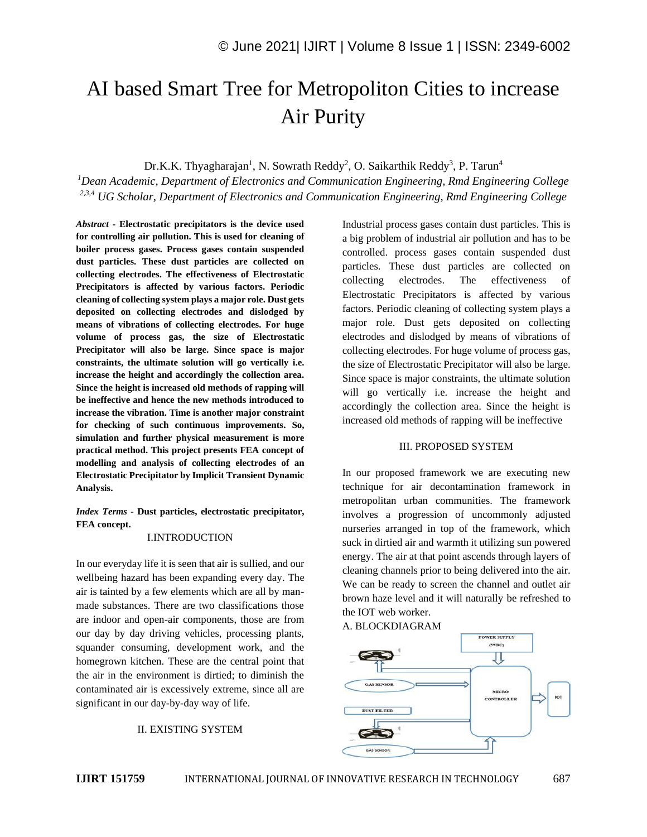# AI based Smart Tree for Metropoliton Cities to increase Air Purity

Dr.K.K. Thyagharajan<sup>1</sup>, N. Sowrath Reddy<sup>2</sup>, O. Saikarthik Reddy<sup>3</sup>, P. Tarun<sup>4</sup>

*<sup>1</sup>Dean Academic, Department of Electronics and Communication Engineering, Rmd Engineering College 2,3,4 UG Scholar, Department of Electronics and Communication Engineering, Rmd Engineering College*

*Abstract -* **Electrostatic precipitators is the device used for controlling air pollution. This is used for cleaning of boiler process gases. Process gases contain suspended dust particles. These dust particles are collected on collecting electrodes. The effectiveness of Electrostatic Precipitators is affected by various factors. Periodic cleaning of collecting system plays a major role. Dust gets deposited on collecting electrodes and dislodged by means of vibrations of collecting electrodes. For huge volume of process gas, the size of Electrostatic Precipitator will also be large. Since space is major constraints, the ultimate solution will go vertically i.e. increase the height and accordingly the collection area. Since the height is increased old methods of rapping will be ineffective and hence the new methods introduced to increase the vibration. Time is another major constraint for checking of such continuous improvements. So, simulation and further physical measurement is more practical method. This project presents FEA concept of modelling and analysis of collecting electrodes of an Electrostatic Precipitator by Implicit Transient Dynamic Analysis.**

*Index Terms -* **Dust particles, electrostatic precipitator, FEA concept.**

#### I.INTRODUCTION

In our everyday life it is seen that air is sullied, and our wellbeing hazard has been expanding every day. The air is tainted by a few elements which are all by manmade substances. There are two classifications those are indoor and open-air components, those are from our day by day driving vehicles, processing plants, squander consuming, development work, and the homegrown kitchen. These are the central point that the air in the environment is dirtied; to diminish the contaminated air is excessively extreme, since all are significant in our day-by-day way of life.

## II. EXISTING SYSTEM

Industrial process gases contain dust particles. This is a big problem of industrial air pollution and has to be controlled. process gases contain suspended dust particles. These dust particles are collected on collecting electrodes. The effectiveness of Electrostatic Precipitators is affected by various factors. Periodic cleaning of collecting system plays a major role. Dust gets deposited on collecting electrodes and dislodged by means of vibrations of collecting electrodes. For huge volume of process gas, the size of Electrostatic Precipitator will also be large. Since space is major constraints, the ultimate solution will go vertically i.e. increase the height and accordingly the collection area. Since the height is increased old methods of rapping will be ineffective

## III. PROPOSED SYSTEM

In our proposed framework we are executing new technique for air decontamination framework in metropolitan urban communities. The framework involves a progression of uncommonly adjusted nurseries arranged in top of the framework, which suck in dirtied air and warmth it utilizing sun powered energy. The air at that point ascends through layers of cleaning channels prior to being delivered into the air. We can be ready to screen the channel and outlet air brown haze level and it will naturally be refreshed to the IOT web worker.

A. BLOCKDIAGRAM

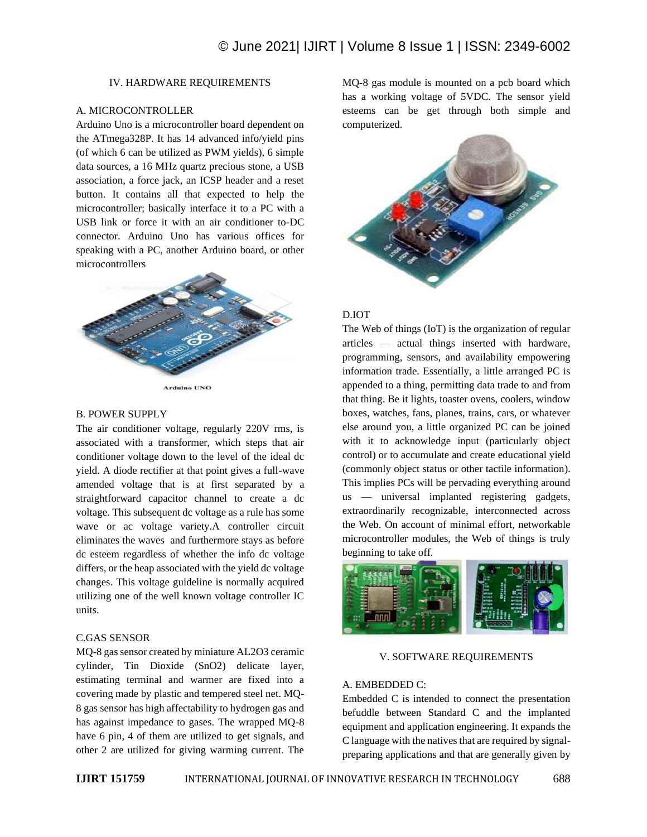## IV. HARDWARE REQUIREMENTS

## A. MICROCONTROLLER

Arduino Uno is a microcontroller board dependent on the ATmega328P. It has 14 advanced info/yield pins (of which 6 can be utilized as PWM yields), 6 simple data sources, a 16 MHz quartz precious stone, a USB association, a force jack, an ICSP header and a reset button. It contains all that expected to help the microcontroller; basically interface it to a PC with a USB link or force it with an air conditioner to-DC connector. Arduino Uno has various offices for speaking with a PC, another Arduino board, or other microcontrollers



**Arduino UNO** 

#### B. POWER SUPPLY

The air conditioner voltage, regularly 220V rms, is associated with a transformer, which steps that air conditioner voltage down to the level of the ideal dc yield. A diode rectifier at that point gives a full-wave amended voltage that is at first separated by a straightforward capacitor channel to create a dc voltage. This subsequent dc voltage as a rule has some wave or ac voltage variety.A controller circuit eliminates the waves and furthermore stays as before dc esteem regardless of whether the info dc voltage differs, or the heap associated with the yield dc voltage changes. This voltage guideline is normally acquired utilizing one of the well known voltage controller IC units.

### C.GAS SENSOR

MQ-8 gas sensor created by miniature AL2O3 ceramic cylinder, Tin Dioxide (SnO2) delicate layer, estimating terminal and warmer are fixed into a covering made by plastic and tempered steel net. MQ-8 gas sensor has high affectability to hydrogen gas and has against impedance to gases. The wrapped MQ-8 have 6 pin, 4 of them are utilized to get signals, and other 2 are utilized for giving warming current. The MQ-8 gas module is mounted on a pcb board which has a working voltage of 5VDC. The sensor yield esteems can be get through both simple and computerized.



#### D.IOT

The Web of things (IoT) is the organization of regular articles — actual things inserted with hardware, programming, sensors, and availability empowering information trade. Essentially, a little arranged PC is appended to a thing, permitting data trade to and from that thing. Be it lights, toaster ovens, coolers, window boxes, watches, fans, planes, trains, cars, or whatever else around you, a little organized PC can be joined with it to acknowledge input (particularly object control) or to accumulate and create educational yield (commonly object status or other tactile information). This implies PCs will be pervading everything around us — universal implanted registering gadgets, extraordinarily recognizable, interconnected across the Web. On account of minimal effort, networkable microcontroller modules, the Web of things is truly beginning to take off.



#### V. SOFTWARE REQUIREMENTS

#### A. EMBEDDED C:

Embedded C is intended to connect the presentation befuddle between Standard C and the implanted equipment and application engineering. It expands the C language with the natives that are required by signalpreparing applications and that are generally given by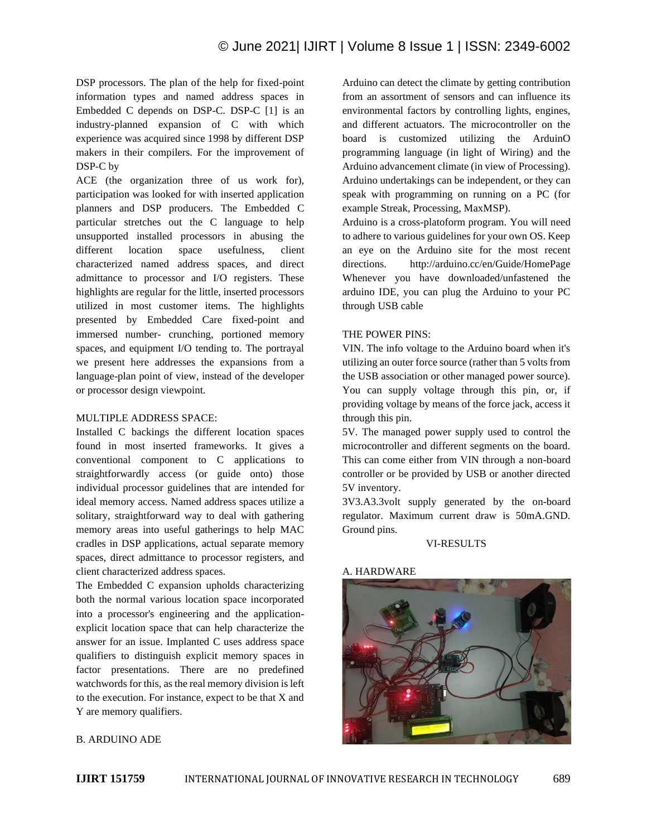DSP processors. The plan of the help for fixed-point information types and named address spaces in Embedded C depends on DSP-C. DSP-C [1] is an industry-planned expansion of C with which experience was acquired since 1998 by different DSP makers in their compilers. For the improvement of DSP-C by

ACE (the organization three of us work for), participation was looked for with inserted application planners and DSP producers. The Embedded C particular stretches out the C language to help unsupported installed processors in abusing the different location space usefulness, client characterized named address spaces, and direct admittance to processor and I/O registers. These highlights are regular for the little, inserted processors utilized in most customer items. The highlights presented by Embedded Care fixed-point and immersed number- crunching, portioned memory spaces, and equipment I/O tending to. The portrayal we present here addresses the expansions from a language-plan point of view, instead of the developer or processor design viewpoint.

## MULTIPLE ADDRESS SPACE:

Installed C backings the different location spaces found in most inserted frameworks. It gives a conventional component to C applications to straightforwardly access (or guide onto) those individual processor guidelines that are intended for ideal memory access. Named address spaces utilize a solitary, straightforward way to deal with gathering memory areas into useful gatherings to help MAC cradles in DSP applications, actual separate memory spaces, direct admittance to processor registers, and client characterized address spaces.

The Embedded C expansion upholds characterizing both the normal various location space incorporated into a processor's engineering and the applicationexplicit location space that can help characterize the answer for an issue. Implanted C uses address space qualifiers to distinguish explicit memory spaces in factor presentations. There are no predefined watchwords for this, as the real memory division is left to the execution. For instance, expect to be that X and Y are memory qualifiers.

Arduino can detect the climate by getting contribution from an assortment of sensors and can influence its environmental factors by controlling lights, engines, and different actuators. The microcontroller on the board is customized utilizing the ArduinO programming language (in light of Wiring) and the Arduino advancement climate (in view of Processing). Arduino undertakings can be independent, or they can speak with programming on running on a PC (for example Streak, Processing, MaxMSP).

Arduino is a cross-platoform program. You will need to adhere to various guidelines for your own OS. Keep an eye on the Arduino site for the most recent directions. http://arduino.cc/en/Guide/HomePage Whenever you have downloaded/unfastened the arduino IDE, you can plug the Arduino to your PC through USB cable

## THE POWER PINS:

VIN. The info voltage to the Arduino board when it's utilizing an outer force source (rather than 5 volts from the USB association or other managed power source). You can supply voltage through this pin, or, if providing voltage by means of the force jack, access it through this pin.

5V. The managed power supply used to control the microcontroller and different segments on the board. This can come either from VIN through a non-board controller or be provided by USB or another directed 5V inventory.

3V3.A3.3volt supply generated by the on-board regulator. Maximum current draw is 50mA.GND. Ground pins.

## VI-RESULTS

## A. HARDWARE



# B. ARDUINO ADE